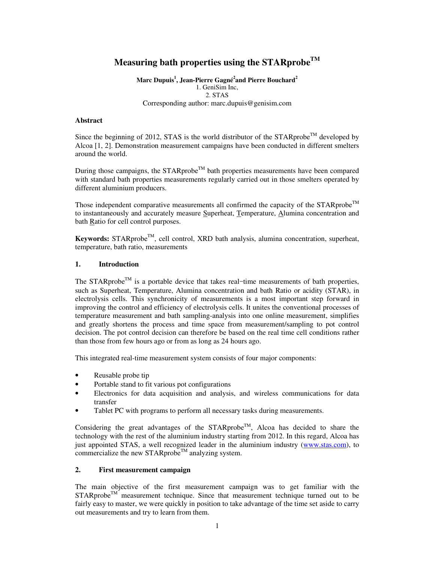# **Measuring bath properties using the STARprobeTM**

**Marc Dupuis<sup>1</sup> , Jean-Pierre Gagné<sup>2</sup> and Pierre Bouchard<sup>2</sup>** 1. GeniSim Inc, 2. STAS Corresponding author: marc.dupuis@genisim.com

#### **Abstract**

Since the beginning of 2012, STAS is the world distributor of the STARprobe<sup>TM</sup> developed by Alcoa [1, 2]. Demonstration measurement campaigns have been conducted in different smelters around the world.

During those campaigns, the  $STARprobe^{TM}$  bath properties measurements have been compared with standard bath properties measurements regularly carried out in those smelters operated by different aluminium producers.

Those independent comparative measurements all confirmed the capacity of the  $STARprobe^{TM}$ to instantaneously and accurately measure Superheat, Temperature, Alumina concentration and bath Ratio for cell control purposes.

Keywords: STARprobe<sup>TM</sup>, cell control, XRD bath analysis, alumina concentration, superheat, temperature, bath ratio, measurements

## **1. Introduction**

The STARprobe<sup>TM</sup> is a portable device that takes real-time measurements of bath properties, such as Superheat, Temperature, Alumina concentration and bath Ratio or acidity (STAR), in electrolysis cells. This synchronicity of measurements is a most important step forward in improving the control and efficiency of electrolysis cells. It unites the conventional processes of temperature measurement and bath sampling-analysis into one online measurement, simplifies and greatly shortens the process and time space from measurement/sampling to pot control decision. The pot control decision can therefore be based on the real time cell conditions rather than those from few hours ago or from as long as 24 hours ago.

This integrated real-time measurement system consists of four major components:

- Reusable probe tip
- Portable stand to fit various pot configurations
- Electronics for data acquisition and analysis, and wireless communications for data transfer
- Tablet PC with programs to perform all necessary tasks during measurements.

Considering the great advantages of the STARprobe<sup>TM</sup>, Alcoa has decided to share the technology with the rest of the aluminium industry starting from 2012. In this regard, Alcoa has just appointed STAS, a well recognized leader in the aluminium industry (www.stas.com), to commercialize the new STARprobe<sup>TM</sup> analyzing system.

## **2. First measurement campaign**

The main objective of the first measurement campaign was to get familiar with the  $STARprobe^{TM}$  measurement technique. Since that measurement technique turned out to be fairly easy to master, we were quickly in position to take advantage of the time set aside to carry out measurements and try to learn from them.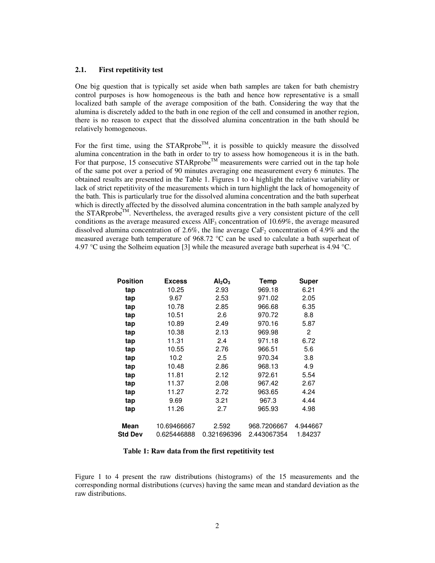#### **2.1. First repetitivity test**

One big question that is typically set aside when bath samples are taken for bath chemistry control purposes is how homogeneous is the bath and hence how representative is a small localized bath sample of the average composition of the bath. Considering the way that the alumina is discretely added to the bath in one region of the cell and consumed in another region, there is no reason to expect that the dissolved alumina concentration in the bath should be relatively homogeneous.

For the first time, using the STARprobe<sup>TM</sup>, it is possible to quickly measure the dissolved alumina concentration in the bath in order to try to assess how homogeneous it is in the bath. For that purpose, 15 consecutive  $STARprobe^{TM}$  measurements were carried out in the tap hole of the same pot over a period of 90 minutes averaging one measurement every 6 minutes. The obtained results are presented in the Table 1. Figures 1 to 4 highlight the relative variability or lack of strict repetitivity of the measurements which in turn highlight the lack of homogeneity of the bath. This is particularly true for the dissolved alumina concentration and the bath superheat which is directly affected by the dissolved alumina concentration in the bath sample analyzed by the STARprobe<sup>TM</sup>. Nevertheless, the averaged results give a very consistent picture of the cell conditions as the average measured excess  $AIF_3$  concentration of 10.69%, the average measured dissolved alumina concentration of 2.6%, the line average  $CaF<sub>2</sub>$  concentration of 4.9% and the measured average bath temperature of 968.72 °C can be used to calculate a bath superheat of 4.97 °C using the Solheim equation [3] while the measured average bath superheat is 4.94 °C.

| <b>Position</b> | <b>Excess</b> | Al <sub>2</sub> O <sub>3</sub> | <b>Temp</b> | <b>Super</b> |
|-----------------|---------------|--------------------------------|-------------|--------------|
| tap             | 10.25         | 2.93                           | 969.18      | 6.21         |
| tap             | 9.67          | 2.53                           | 971.02      | 2.05         |
| tap             | 10.78         | 2.85                           | 966.68      | 6.35         |
| tap             | 10.51         | 2.6                            | 970.72      | 8.8          |
| tap             | 10.89         | 2.49                           | 970.16      | 5.87         |
| tap             | 10.38         | 2.13                           | 969.98      | 2            |
| tap             | 11.31         | 2.4                            | 971.18      | 6.72         |
| tap             | 10.55         | 2.76                           | 966.51      | 5.6          |
| tap             | 10.2          | 2.5                            | 970.34      | 3.8          |
| tap             | 10.48         | 2.86                           | 968.13      | 4.9          |
| tap             | 11.81         | 2.12                           | 972.61      | 5.54         |
| tap             | 11.37         | 2.08                           | 967.42      | 2.67         |
| tap             | 11.27         | 2.72                           | 963.65      | 4.24         |
| tap             | 9.69          | 3.21                           | 967.3       | 4.44         |
| tap             | 11.26         | 2.7                            | 965.93      | 4.98         |
| Mean            | 10.69466667   | 2.592                          | 968.7206667 | 4.944667     |
| <b>Std Dev</b>  | 0.625446888   | 0.321696396                    | 2.443067354 | 1.84237      |

**Table 1: Raw data from the first repetitivity test** 

Figure 1 to 4 present the raw distributions (histograms) of the 15 measurements and the corresponding normal distributions (curves) having the same mean and standard deviation as the raw distributions.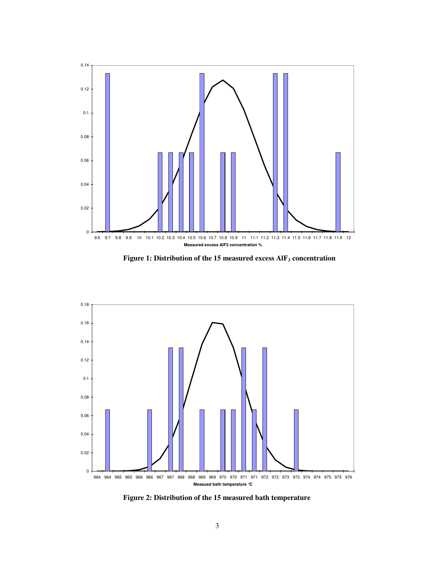

**Figure 1: Distribution of the 15 measured excess AlF3 concentration**



**Figure 2: Distribution of the 15 measured bath temperature**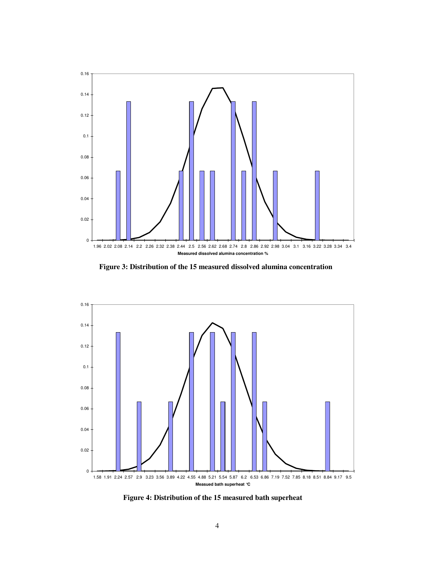

**Figure 3: Distribution of the 15 measured dissolved alumina concentration** 



**Figure 4: Distribution of the 15 measured bath superheat**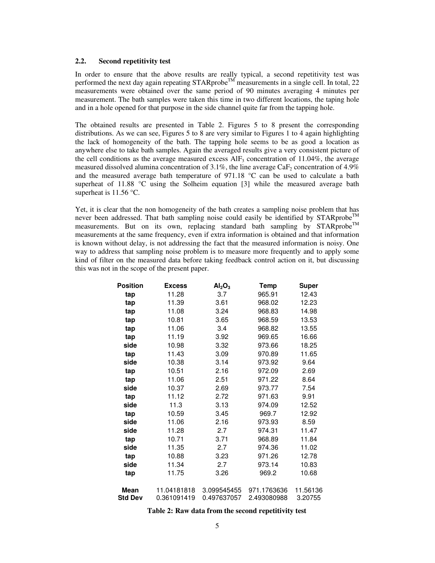#### **2.2. Second repetitivity test**

In order to ensure that the above results are really typical, a second repetitivity test was performed the next day again repeating  $STARprobe^{TM}$  measurements in a single cell. In total, 22 measurements were obtained over the same period of 90 minutes averaging 4 minutes per measurement. The bath samples were taken this time in two different locations, the taping hole and in a hole opened for that purpose in the side channel quite far from the tapping hole.

The obtained results are presented in Table 2. Figures 5 to 8 present the corresponding distributions. As we can see, Figures 5 to 8 are very similar to Figures 1 to 4 again highlighting the lack of homogeneity of the bath. The tapping hole seems to be as good a location as anywhere else to take bath samples. Again the averaged results give a very consistent picture of the cell conditions as the average measured excess  $AIF_3$  concentration of 11.04%, the average measured dissolved alumina concentration of 3.1%, the line average CaF<sub>2</sub> concentration of 4.9% and the measured average bath temperature of 971.18 °C can be used to calculate a bath superheat of 11.88  $\degree$ C using the Solheim equation [3] while the measured average bath superheat is  $11.56$  °C.

Yet, it is clear that the non homogeneity of the bath creates a sampling noise problem that has never been addressed. That bath sampling noise could easily be identified by  $STARprobe^{TM}$ measurements. But on its own, replacing standard bath sampling by  $STARprobe^{TM}$ measurements at the same frequency, even if extra information is obtained and that information is known without delay, is not addressing the fact that the measured information is noisy. One way to address that sampling noise problem is to measure more frequently and to apply some kind of filter on the measured data before taking feedback control action on it, but discussing this was not in the scope of the present paper.

| <b>Position</b> | <b>Excess</b> | Al <sub>2</sub> O <sub>3</sub> | Temp        | Super    |
|-----------------|---------------|--------------------------------|-------------|----------|
| tap             | 11.28         | 3.7                            | 965.91      | 12.43    |
| tap             | 11.39         | 3.61                           | 968.02      | 12.23    |
| tap             | 11.08         | 3.24                           | 968.83      | 14.98    |
| tap             | 10.81         | 3.65                           | 968.59      | 13.53    |
| tap             | 11.06         | 3.4                            | 968.82      | 13.55    |
| tap             | 11.19         | 3.92                           | 969.65      | 16.66    |
| side            | 10.98         | 3.32                           | 973.66      | 18.25    |
| tap             | 11.43         | 3.09                           | 970.89      | 11.65    |
| side            | 10.38         | 3.14                           | 973.92      | 9.64     |
| tap             | 10.51         | 2.16                           | 972.09      | 2.69     |
| tap             | 11.06         | 2.51                           | 971.22      | 8.64     |
| side            | 10.37         | 2.69                           | 973.77      | 7.54     |
| tap             | 11.12         | 2.72                           | 971.63      | 9.91     |
| side            | 11.3          | 3.13                           | 974.09      | 12.52    |
| tap             | 10.59         | 3.45                           | 969.7       | 12.92    |
| side            | 11.06         | 2.16                           | 973.93      | 8.59     |
| side            | 11.28         | 2.7                            | 974.31      | 11.47    |
| tap             | 10.71         | 3.71                           | 968.89      | 11.84    |
| side            | 11.35         | 2.7                            | 974.36      | 11.02    |
| tap             | 10.88         | 3.23                           | 971.26      | 12.78    |
| side            | 11.34         | 2.7                            | 973.14      | 10.83    |
| tap             | 11.75         | 3.26                           | 969.2       | 10.68    |
| <b>Mean</b>     | 11.04181818   | 3.099545455                    | 971.1763636 | 11.56136 |
| <b>Std Dev</b>  | 0.361091419   | 0.497637057                    | 2.493080988 | 3.20755  |

**Table 2: Raw data from the second repetitivity test**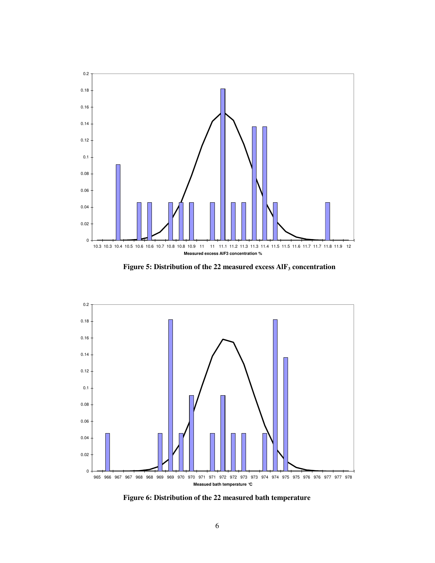

**Figure 5: Distribution of the 22 measured excess AlF3 concentration**



**Figure 6: Distribution of the 22 measured bath temperature**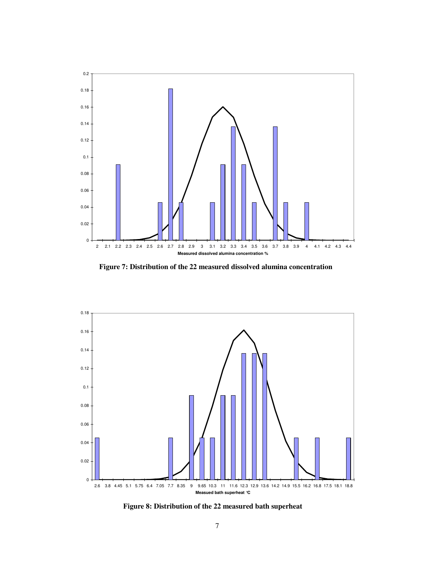

**Figure 7: Distribution of the 22 measured dissolved alumina concentration** 



**Figure 8: Distribution of the 22 measured bath superheat**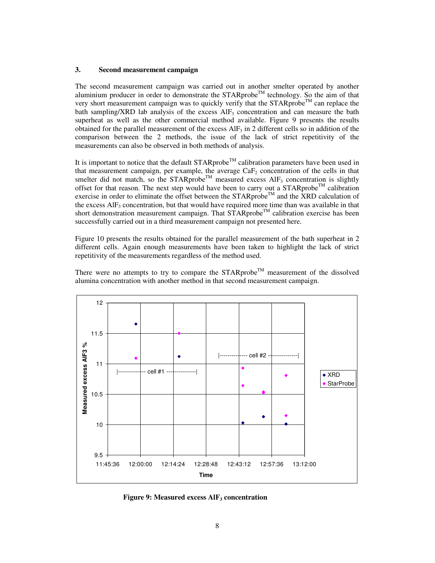#### **3. Second measurement campaign**

The second measurement campaign was carried out in another smelter operated by another aluminium producer in order to demonstrate the  $STARprobe^{TM}$  technology. So the aim of that very short measurement campaign was to quickly verify that the  $STARprobe^{\text{TM}}$  can replace the bath sampling/XRD lab analysis of the excess  $AIF_3$  concentration and can measure the bath superheat as well as the other commercial method available. Figure 9 presents the results obtained for the parallel measurement of the excess  $AIF<sub>3</sub>$  in 2 different cells so in addition of the comparison between the 2 methods, the issue of the lack of strict repetitivity of the measurements can also be observed in both methods of analysis.

It is important to notice that the default  $STARP\;{\rm cob}^{\rm TM}$  calibration parameters have been used in that measurement campaign, per example, the average  $CaF<sub>2</sub>$  concentration of the cells in that smelter did not match, so the STARprobe<sup>TM</sup> measured excess  $AIF_3$  concentration is slightly offset for that reason. The next step would have been to carry out a STARprobe<sup>TM</sup> calibration exercise in order to eliminate the offset between the STARprobe<sup>TM</sup> and the XRD calculation of the excess  $AIF_3$  concentration, but that would have required more time than was available in that short demonstration measurement campaign. That  $\widehat{STAR}$ probe<sup>TM</sup> calibration exercise has been successfully carried out in a third measurement campaign not presented here.

Figure 10 presents the results obtained for the parallel measurement of the bath superheat in 2 different cells. Again enough measurements have been taken to highlight the lack of strict repetitivity of the measurements regardless of the method used.

There were no attempts to try to compare the  $STARprobe^{TM}$  measurement of the dissolved alumina concentration with another method in that second measurement campaign.



**Figure 9: Measured excess AlF3 concentration**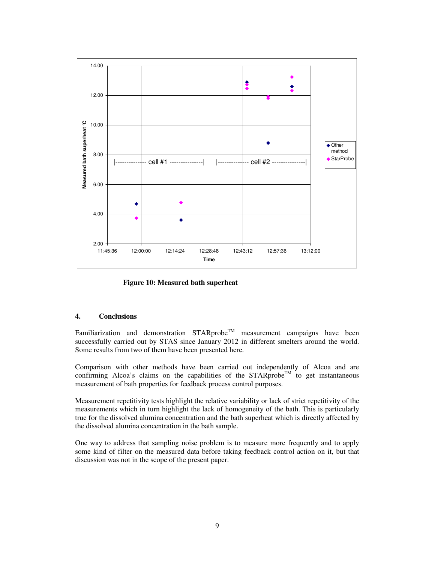

**Figure 10: Measured bath superheat** 

# **4. Conclusions**

Familiarization and demonstration  $STARprobe^{TM}$  measurement campaigns have been successfully carried out by STAS since January 2012 in different smelters around the world. Some results from two of them have been presented here.

Comparison with other methods have been carried out independently of Alcoa and are confirming Alcoa's claims on the capabilities of the STARprobe<sup>TM</sup> to get instantaneous measurement of bath properties for feedback process control purposes.

Measurement repetitivity tests highlight the relative variability or lack of strict repetitivity of the measurements which in turn highlight the lack of homogeneity of the bath. This is particularly true for the dissolved alumina concentration and the bath superheat which is directly affected by the dissolved alumina concentration in the bath sample.

One way to address that sampling noise problem is to measure more frequently and to apply some kind of filter on the measured data before taking feedback control action on it, but that discussion was not in the scope of the present paper.